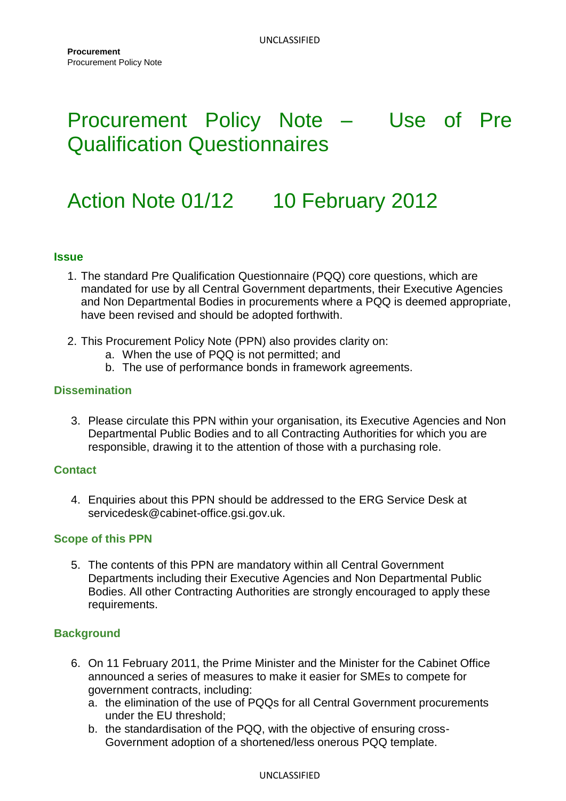# Procurement Policy Note – Use of Pre Qualification Questionnaires

# Action Note 01/12 10 February 2012

### **Issue**

- 1. The standard Pre Qualification Questionnaire (PQQ) core questions, which are mandated for use by all Central Government departments, their Executive Agencies and Non Departmental Bodies in procurements where a PQQ is deemed appropriate, have been revised and should be adopted forthwith.
- 2. This Procurement Policy Note (PPN) also provides clarity on:
	- a. When the use of PQQ is not permitted; and
	- b. The use of performance bonds in framework agreements.

## **Dissemination**

3. Please circulate this PPN within your organisation, its Executive Agencies and Non Departmental Public Bodies and to all Contracting Authorities for which you are responsible, drawing it to the attention of those with a purchasing role.

### **Contact**

4. Enquiries about this PPN should be addressed to the ERG Service Desk at servicedesk@cabinet-office.gsi.gov.uk.

### **Scope of this PPN**

5. The contents of this PPN are mandatory within all Central Government Departments including their Executive Agencies and Non Departmental Public Bodies. All other Contracting Authorities are strongly encouraged to apply these requirements.

## **Background**

- 6. On 11 February 2011, the Prime Minister and the Minister for the Cabinet Office announced a series of measures to make it easier for SMEs to compete for government contracts, including:
	- a. the elimination of the use of PQQs for all Central Government procurements under the EU threshold;
	- b. the standardisation of the PQQ, with the objective of ensuring cross-Government adoption of a shortened/less onerous PQQ template.

#### UNCLASSIFIED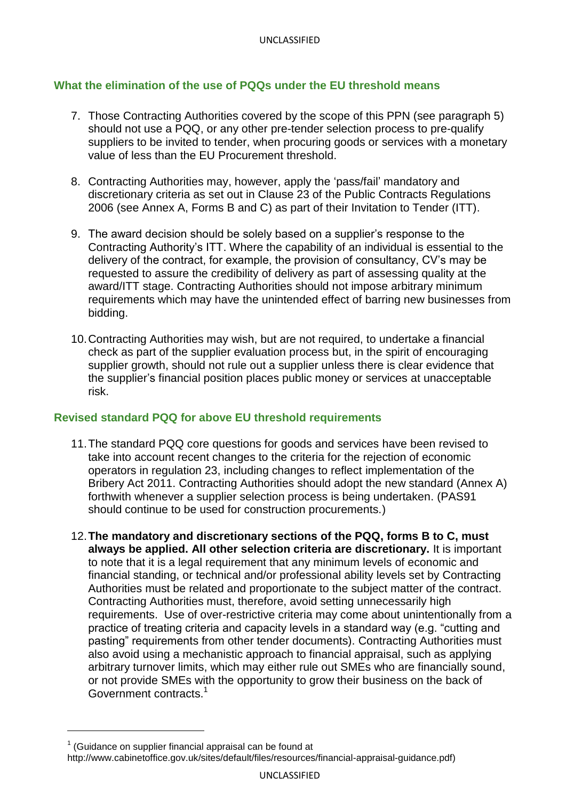# **What the elimination of the use of PQQs under the EU threshold means**

- 7. Those Contracting Authorities covered by the scope of this PPN (see paragraph 5) should not use a PQQ, or any other pre-tender selection process to pre-qualify suppliers to be invited to tender, when procuring goods or services with a monetary value of less than the EU Procurement threshold.
- 8. Contracting Authorities may, however, apply the "pass/fail" mandatory and discretionary criteria as set out in Clause 23 of the Public Contracts Regulations 2006 (see Annex A, Forms B and C) as part of their Invitation to Tender (ITT).
- 9. The award decision should be solely based on a supplier"s response to the Contracting Authority"s ITT. Where the capability of an individual is essential to the delivery of the contract, for example, the provision of consultancy, CV"s may be requested to assure the credibility of delivery as part of assessing quality at the award/ITT stage. Contracting Authorities should not impose arbitrary minimum requirements which may have the unintended effect of barring new businesses from bidding.
- 10.Contracting Authorities may wish, but are not required, to undertake a financial check as part of the supplier evaluation process but, in the spirit of encouraging supplier growth, should not rule out a supplier unless there is clear evidence that the supplier"s financial position places public money or services at unacceptable risk.

## **Revised standard PQQ for above EU threshold requirements**

- 11.The standard PQQ core questions for goods and services have been revised to take into account recent changes to the criteria for the rejection of economic operators in regulation 23, including changes to reflect implementation of the Bribery Act 2011. Contracting Authorities should adopt the new standard (Annex A) forthwith whenever a supplier selection process is being undertaken. (PAS91 should continue to be used for construction procurements.)
- 12.**The mandatory and discretionary sections of the PQQ, forms B to C, must always be applied. All other selection criteria are discretionary.** It is important to note that it is a legal requirement that any minimum levels of economic and financial standing, or technical and/or professional ability levels set by Contracting Authorities must be related and proportionate to the subject matter of the contract. Contracting Authorities must, therefore, avoid setting unnecessarily high requirements. Use of over-restrictive criteria may come about unintentionally from a practice of treating criteria and capacity levels in a standard way (e.g. "cutting and pasting" requirements from other tender documents). Contracting Authorities must also avoid using a mechanistic approach to financial appraisal, such as applying arbitrary turnover limits, which may either rule out SMEs who are financially sound, or not provide SMEs with the opportunity to grow their business on the back of Government contracts.<sup>1</sup>

l

 $1$  (Guidance on supplier financial appraisal can be found at [http://www.cabinetoffice.gov.uk/sites/default/files/resources/financial-appraisal-guidance.pdf\)](http://www.cabinetoffice.gov.uk/sites/default/files/resources/financial-appraisal-guidance.pdf)